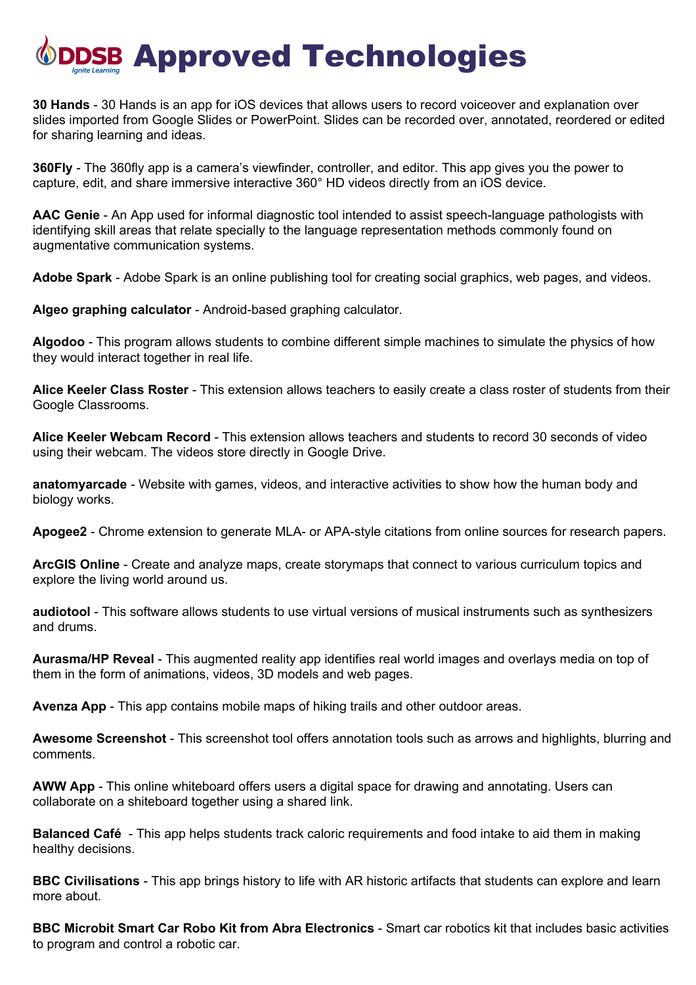## DSB Approved Technologies

**30 Hands** - 30 Hands is an app for iOS devices that allows users to record voiceover and explanation over slides imported from Google Slides or PowerPoint. Slides can be recorded over, annotated, reordered or edited for sharing learning and ideas.

**360Fly** - The 360fly app is a camera's viewfinder, controller, and editor. This app gives you the power to capture, edit, and share immersive interactive 360° HD videos directly from an iOS device.

**AAC Genie** - An App used for informal diagnostic tool intended to assist speech-language pathologists with identifying skill areas that relate specially to the language representation methods commonly found on augmentative communication systems.

**Adobe Spark** - Adobe Spark is an online publishing tool for creating social graphics, web pages, and videos.

**Algeo graphing calculator** - Android-based graphing calculator.

**Algodoo** - This program allows students to combine different simple machines to simulate the physics of how they would interact together in real life.

**Alice Keeler Class Roster** - This extension allows teachers to easily create a class roster of students from their Google Classrooms.

**Alice Keeler Webcam Record** - This extension allows teachers and students to record 30 seconds of video using their webcam. The videos store directly in Google Drive.

**anatomyarcade** - Website with games, videos, and interactive activities to show how the human body and biology works.

**Apogee2** - Chrome extension to generate MLA- or APA-style citations from online sources for research papers.

**ArcGIS Online** - Create and analyze maps, create storymaps that connect to various curriculum topics and explore the living world around us.

**audiotool** - This software allows students to use virtual versions of musical instruments such as synthesizers and drums.

**Aurasma/HP Reveal** - This augmented reality app identifies real world images and overlays media on top of them in the form of animations, videos, 3D models and web pages.

**Avenza App** - This app contains mobile maps of hiking trails and other outdoor areas.

**Awesome Screenshot** - This screenshot tool offers annotation tools such as arrows and highlights, blurring and comments.

**AWW App** - This online whiteboard offers users a digital space for drawing and annotating. Users can collaborate on a shiteboard together using a shared link.

**Balanced Café** - This app helps students track caloric requirements and food intake to aid them in making healthy decisions.

**BBC Civilisations** - This app brings history to life with AR historic artifacts that students can explore and learn more about.

**BBC Microbit Smart Car Robo Kit from Abra Electronics** - Smart car robotics kit that includes basic activities to program and control a robotic car.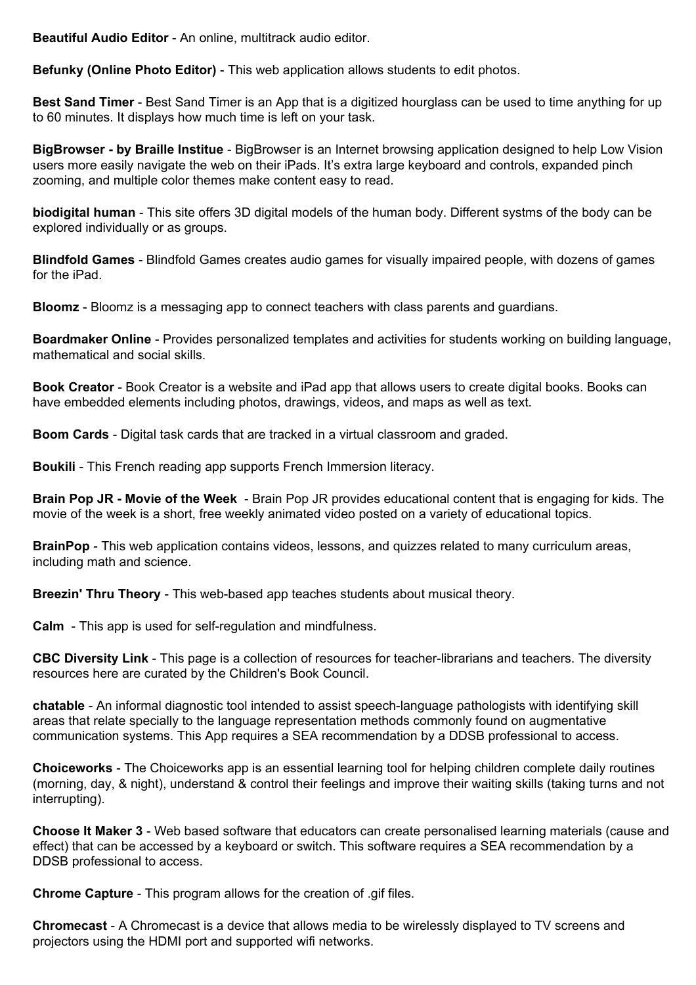**Beautiful Audio Editor** - An online, multitrack audio editor.

**Befunky (Online Photo Editor)** - This web application allows students to edit photos.

**Best Sand Timer** - Best Sand Timer is an App that is a digitized hourglass can be used to time anything for up to 60 minutes. It displays how much time is left on your task.

**BigBrowser - by Braille Institue** - BigBrowser is an Internet browsing application designed to help Low Vision users more easily navigate the web on their iPads. It's extra large keyboard and controls, expanded pinch zooming, and multiple color themes make content easy to read.

**biodigital human** - This site offers 3D digital models of the human body. Different systms of the body can be explored individually or as groups.

**Blindfold Games** - Blindfold Games creates audio games for visually impaired people, with dozens of games for the iPad.

**Bloomz** - Bloomz is a messaging app to connect teachers with class parents and guardians.

**Boardmaker Online** - Provides personalized templates and activities for students working on building language, mathematical and social skills.

**Book Creator** - Book Creator is a website and iPad app that allows users to create digital books. Books can have embedded elements including photos, drawings, videos, and maps as well as text.

**Boom Cards** - Digital task cards that are tracked in a virtual classroom and graded.

**Boukili** - This French reading app supports French Immersion literacy.

**Brain Pop JR - Movie of the Week** - Brain Pop JR provides educational content that is engaging for kids. The movie of the week is a short, free weekly animated video posted on a variety of educational topics.

**BrainPop** - This web application contains videos, lessons, and quizzes related to many curriculum areas, including math and science.

**Breezin' Thru Theory** - This web-based app teaches students about musical theory.

**Calm** - This app is used for self-regulation and mindfulness.

**CBC Diversity Link** - This page is a collection of resources for teacher-librarians and teachers. The diversity resources here are curated by the Children's Book Council.

**chatable** - An informal diagnostic tool intended to assist speech-language pathologists with identifying skill areas that relate specially to the language representation methods commonly found on augmentative communication systems. This App requires a SEA recommendation by a DDSB professional to access.

**Choiceworks** - The Choiceworks app is an essential learning tool for helping children complete daily routines (morning, day, & night), understand & control their feelings and improve their waiting skills (taking turns and not interrupting).

**Choose It Maker 3** - Web based software that educators can create personalised learning materials (cause and effect) that can be accessed by a keyboard or switch. This software requires a SEA recommendation by a DDSB professional to access.

**Chrome Capture** - This program allows for the creation of .gif files.

**Chromecast** - A Chromecast is a device that allows media to be wirelessly displayed to TV screens and projectors using the HDMI port and supported wifi networks.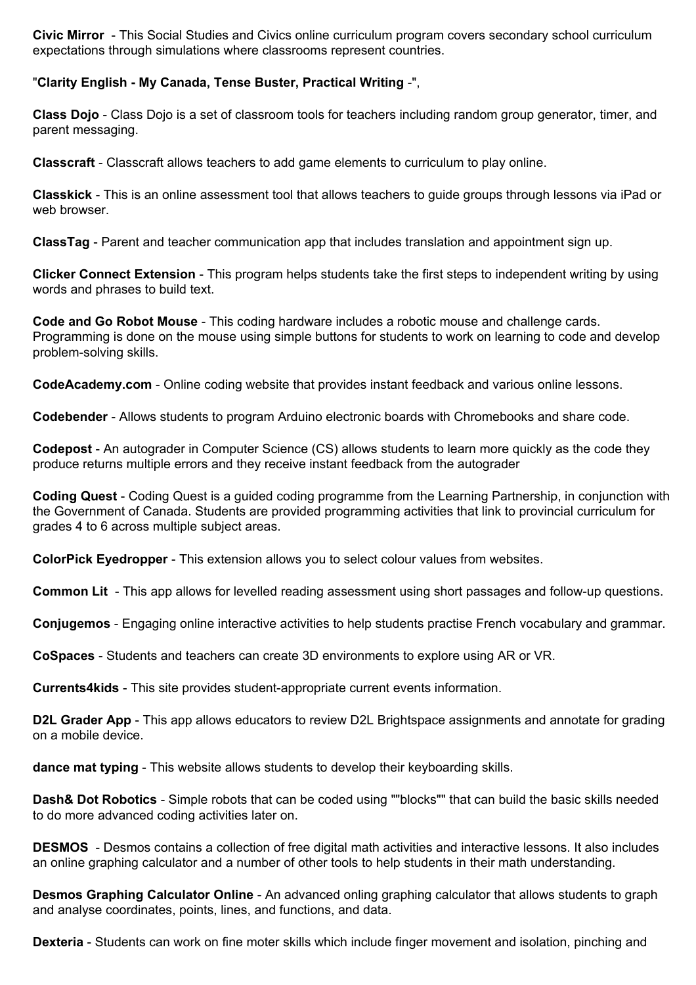**Civic Mirror** - This Social Studies and Civics online curriculum program covers secondary school curriculum expectations through simulations where classrooms represent countries.

## "**Clarity English - My Canada, Tense Buster, Practical Writing** -",

**Class Dojo** - Class Dojo is a set of classroom tools for teachers including random group generator, timer, and parent messaging.

**Classcraft** - Classcraft allows teachers to add game elements to curriculum to play online.

**Classkick** - This is an online assessment tool that allows teachers to guide groups through lessons via iPad or web browser.

**ClassTag** - Parent and teacher communication app that includes translation and appointment sign up.

**Clicker Connect Extension** - This program helps students take the first steps to independent writing by using words and phrases to build text.

**Code and Go Robot Mouse** - This coding hardware includes a robotic mouse and challenge cards. Programming is done on the mouse using simple buttons for students to work on learning to code and develop problem-solving skills.

**CodeAcademy.com** - Online coding website that provides instant feedback and various online lessons.

**Codebender** - Allows students to program Arduino electronic boards with Chromebooks and share code.

**Codepost** - An autograder in Computer Science (CS) allows students to learn more quickly as the code they produce returns multiple errors and they receive instant feedback from the autograder

**Coding Quest** - Coding Quest is a guided coding programme from the Learning Partnership, in conjunction with the Government of Canada. Students are provided programming activities that link to provincial curriculum for grades 4 to 6 across multiple subject areas.

**ColorPick Eyedropper** - This extension allows you to select colour values from websites.

**Common Lit** - This app allows for levelled reading assessment using short passages and follow-up questions.

**Conjugemos** - Engaging online interactive activities to help students practise French vocabulary and grammar.

**CoSpaces** - Students and teachers can create 3D environments to explore using AR or VR.

**Currents4kids** - This site provides student-appropriate current events information.

**D2L Grader App** - This app allows educators to review D2L Brightspace assignments and annotate for grading on a mobile device.

**dance mat typing** - This website allows students to develop their keyboarding skills.

**Dash& Dot Robotics** - Simple robots that can be coded using ""blocks"" that can build the basic skills needed to do more advanced coding activities later on.

**DESMOS** - Desmos contains a collection of free digital math activities and interactive lessons. It also includes an online graphing calculator and a number of other tools to help students in their math understanding.

**Desmos Graphing Calculator Online** - An advanced onling graphing calculator that allows students to graph and analyse coordinates, points, lines, and functions, and data.

**Dexteria** - Students can work on fine moter skills which include finger movement and isolation, pinching and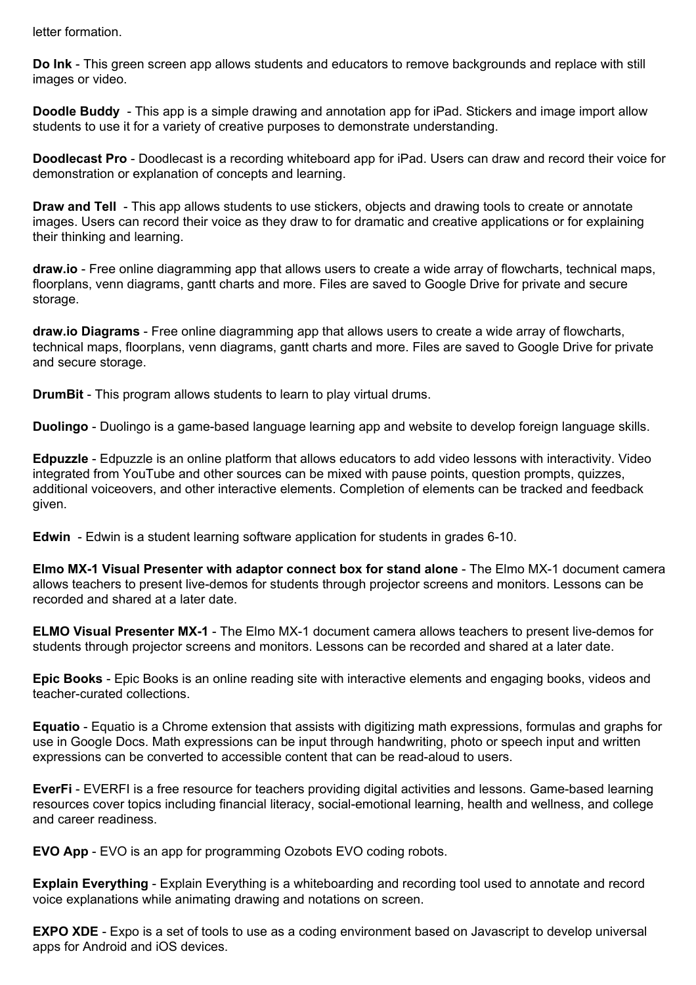letter formation.

**Do Ink** - This green screen app allows students and educators to remove backgrounds and replace with still images or video.

**Doodle Buddy** - This app is a simple drawing and annotation app for iPad. Stickers and image import allow students to use it for a variety of creative purposes to demonstrate understanding.

**Doodlecast Pro** - Doodlecast is a recording whiteboard app for iPad. Users can draw and record their voice for demonstration or explanation of concepts and learning.

**Draw and Tell** - This app allows students to use stickers, objects and drawing tools to create or annotate images. Users can record their voice as they draw to for dramatic and creative applications or for explaining their thinking and learning.

**draw.io** - Free online diagramming app that allows users to create a wide array of flowcharts, technical maps, floorplans, venn diagrams, gantt charts and more. Files are saved to Google Drive for private and secure storage.

**draw.io Diagrams** - Free online diagramming app that allows users to create a wide array of flowcharts, technical maps, floorplans, venn diagrams, gantt charts and more. Files are saved to Google Drive for private and secure storage.

**DrumBit** - This program allows students to learn to play virtual drums.

**Duolingo** - Duolingo is a game-based language learning app and website to develop foreign language skills.

**Edpuzzle** - Edpuzzle is an online platform that allows educators to add video lessons with interactivity. Video integrated from YouTube and other sources can be mixed with pause points, question prompts, quizzes, additional voiceovers, and other interactive elements. Completion of elements can be tracked and feedback given.

**Edwin** - Edwin is a student learning software application for students in grades 6-10.

**Elmo MX-1 Visual Presenter with adaptor connect box for stand alone** - The Elmo MX-1 document camera allows teachers to present live-demos for students through projector screens and monitors. Lessons can be recorded and shared at a later date.

**ELMO Visual Presenter MX-1** - The Elmo MX-1 document camera allows teachers to present live-demos for students through projector screens and monitors. Lessons can be recorded and shared at a later date.

**Epic Books** - Epic Books is an online reading site with interactive elements and engaging books, videos and teacher-curated collections.

**Equatio** - Equatio is a Chrome extension that assists with digitizing math expressions, formulas and graphs for use in Google Docs. Math expressions can be input through handwriting, photo or speech input and written expressions can be converted to accessible content that can be read-aloud to users.

**EverFi** - EVERFI is a free resource for teachers providing digital activities and lessons. Game-based learning resources cover topics including financial literacy, social-emotional learning, health and wellness, and college and career readiness.

**EVO App** - EVO is an app for programming Ozobots EVO coding robots.

**Explain Everything** - Explain Everything is a whiteboarding and recording tool used to annotate and record voice explanations while animating drawing and notations on screen.

**EXPO XDE** - Expo is a set of tools to use as a coding environment based on Javascript to develop universal apps for Android and iOS devices.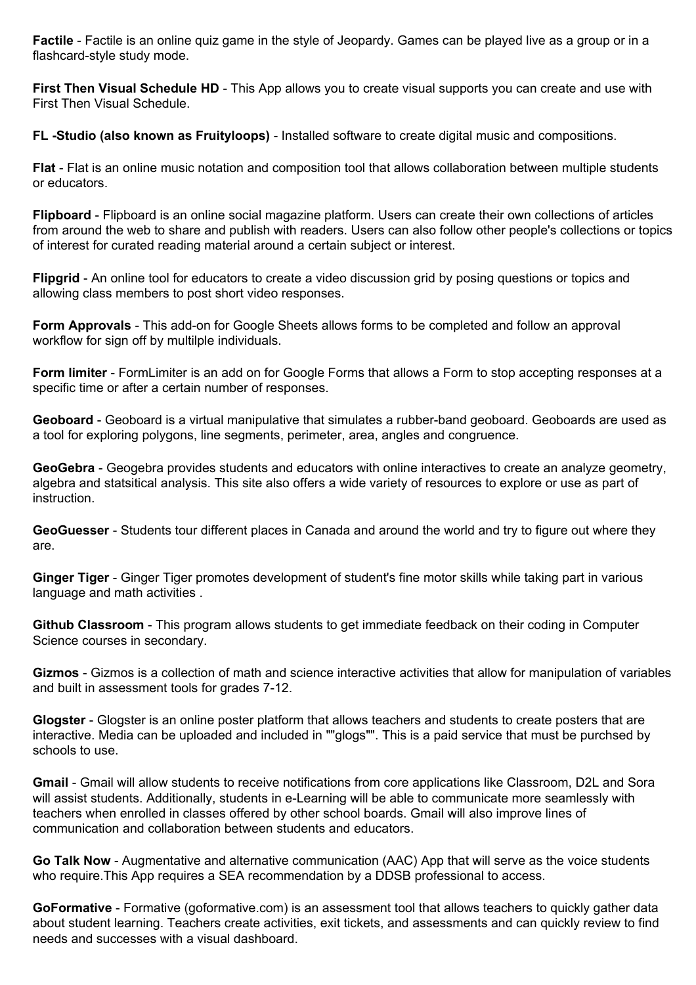**Factile** - Factile is an online quiz game in the style of Jeopardy. Games can be played live as a group or in a flashcard-style study mode.

**First Then Visual Schedule HD** - This App allows you to create visual supports you can create and use with First Then Visual Schedule.

**FL -Studio (also known as Fruityloops)** - Installed software to create digital music and compositions.

**Flat** - Flat is an online music notation and composition tool that allows collaboration between multiple students or educators.

**Flipboard** - Flipboard is an online social magazine platform. Users can create their own collections of articles from around the web to share and publish with readers. Users can also follow other people's collections or topics of interest for curated reading material around a certain subject or interest.

**Flipgrid** - An online tool for educators to create a video discussion grid by posing questions or topics and allowing class members to post short video responses.

**Form Approvals** - This add-on for Google Sheets allows forms to be completed and follow an approval workflow for sign off by multilple individuals.

**Form limiter** - FormLimiter is an add on for Google Forms that allows a Form to stop accepting responses at a specific time or after a certain number of responses.

**Geoboard** - Geoboard is a virtual manipulative that simulates a rubber-band geoboard. Geoboards are used as a tool for exploring polygons, line segments, perimeter, area, angles and congruence.

**GeoGebra** - Geogebra provides students and educators with online interactives to create an analyze geometry, algebra and statsitical analysis. This site also offers a wide variety of resources to explore or use as part of instruction.

**GeoGuesser** - Students tour different places in Canada and around the world and try to figure out where they are.

**Ginger Tiger** - Ginger Tiger promotes development of student's fine motor skills while taking part in various language and math activities .

**Github Classroom** - This program allows students to get immediate feedback on their coding in Computer Science courses in secondary.

**Gizmos** - Gizmos is a collection of math and science interactive activities that allow for manipulation of variables and built in assessment tools for grades 7-12.

**Glogster** - Glogster is an online poster platform that allows teachers and students to create posters that are interactive. Media can be uploaded and included in ""glogs"". This is a paid service that must be purchsed by schools to use.

**Gmail** - Gmail will allow students to receive notifications from core applications like Classroom, D2L and Sora will assist students. Additionally, students in e-Learning will be able to communicate more seamlessly with teachers when enrolled in classes offered by other school boards. Gmail will also improve lines of communication and collaboration between students and educators.

**Go Talk Now** - Augmentative and alternative communication (AAC) App that will serve as the voice students who require.This App requires a SEA recommendation by a DDSB professional to access.

**GoFormative** - Formative (goformative.com) is an assessment tool that allows teachers to quickly gather data about student learning. Teachers create activities, exit tickets, and assessments and can quickly review to find needs and successes with a visual dashboard.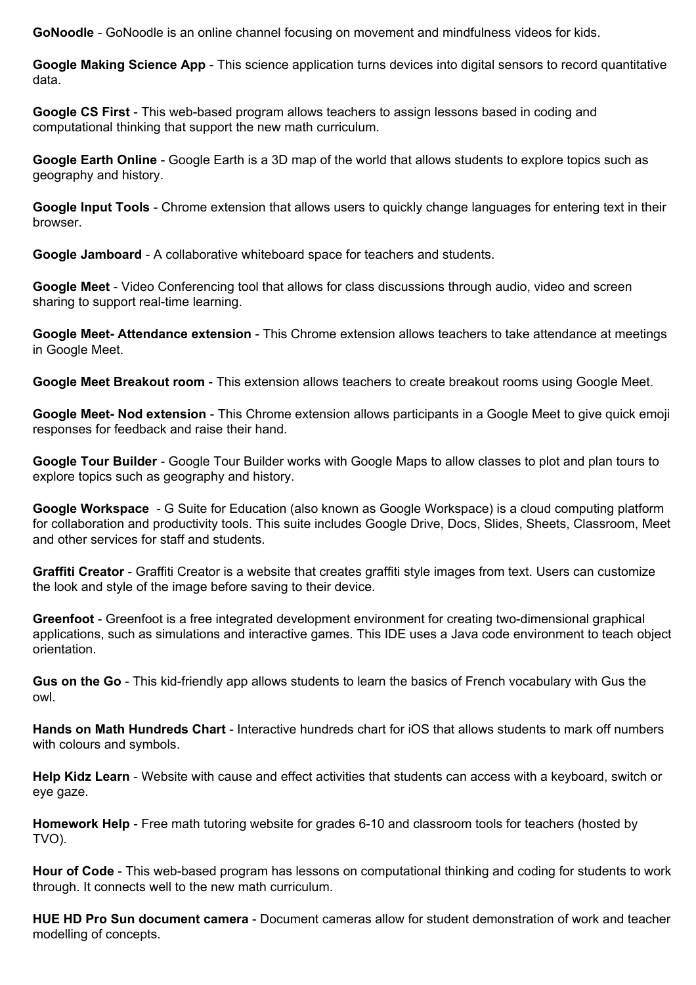**GoNoodle** - GoNoodle is an online channel focusing on movement and mindfulness videos for kids.

**Google Making Science App** - This science application turns devices into digital sensors to record quantitative data.

**Google CS First** - This web-based program allows teachers to assign lessons based in coding and computational thinking that support the new math curriculum.

**Google Earth Online** - Google Earth is a 3D map of the world that allows students to explore topics such as geography and history.

**Google Input Tools** - Chrome extension that allows users to quickly change languages for entering text in their browser.

**Google Jamboard** - A collaborative whiteboard space for teachers and students.

**Google Meet** - Video Conferencing tool that allows for class discussions through audio, video and screen sharing to support real-time learning.

**Google Meet- Attendance extension** - This Chrome extension allows teachers to take attendance at meetings in Google Meet.

**Google Meet Breakout room** - This extension allows teachers to create breakout rooms using Google Meet.

**Google Meet- Nod extension** - This Chrome extension allows participants in a Google Meet to give quick emoji responses for feedback and raise their hand.

**Google Tour Builder** - Google Tour Builder works with Google Maps to allow classes to plot and plan tours to explore topics such as geography and history.

**Google Workspace** - G Suite for Education (also known as Google Workspace) is a cloud computing platform for collaboration and productivity tools. This suite includes Google Drive, Docs, Slides, Sheets, Classroom, Meet and other services for staff and students.

**Graffiti Creator** - Graffiti Creator is a website that creates graffiti style images from text. Users can customize the look and style of the image before saving to their device.

**Greenfoot** - Greenfoot is a free integrated development environment for creating two-dimensional graphical applications, such as simulations and interactive games. This IDE uses a Java code environment to teach object orientation.

**Gus on the Go** - This kid-friendly app allows students to learn the basics of French vocabulary with Gus the owl.

**Hands on Math Hundreds Chart** - Interactive hundreds chart for iOS that allows students to mark off numbers with colours and symbols.

**Help Kidz Learn** - Website with cause and effect activities that students can access with a keyboard, switch or eye gaze.

**Homework Help** - Free math tutoring website for grades 6-10 and classroom tools for teachers (hosted by TVO).

**Hour of Code** - This web-based program has lessons on computational thinking and coding for students to work through. It connects well to the new math curriculum.

**HUE HD Pro Sun document camera** - Document cameras allow for student demonstration of work and teacher modelling of concepts.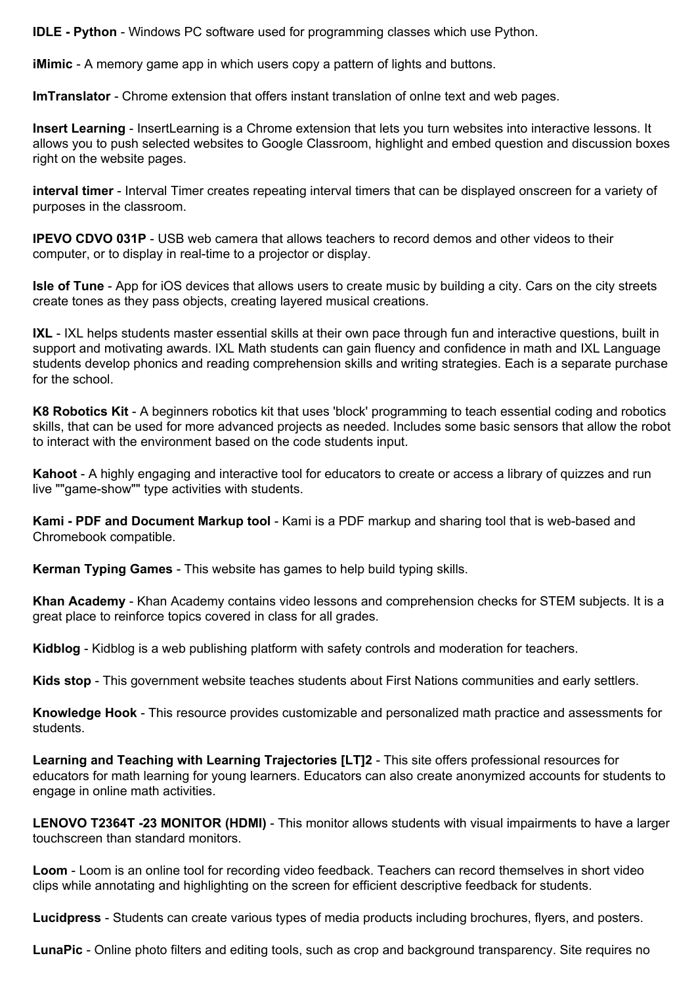**IDLE - Python** - Windows PC software used for programming classes which use Python.

**iMimic** - A memory game app in which users copy a pattern of lights and buttons.

**ImTranslator** - Chrome extension that offers instant translation of onlne text and web pages.

**Insert Learning** - InsertLearning is a Chrome extension that lets you turn websites into interactive lessons. It allows you to push selected websites to Google Classroom, highlight and embed question and discussion boxes right on the website pages.

**interval timer** - Interval Timer creates repeating interval timers that can be displayed onscreen for a variety of purposes in the classroom.

**IPEVO CDVO 031P** - USB web camera that allows teachers to record demos and other videos to their computer, or to display in real-time to a projector or display.

**Isle of Tune** - App for iOS devices that allows users to create music by building a city. Cars on the city streets create tones as they pass objects, creating layered musical creations.

**IXL** - IXL helps students master essential skills at their own pace through fun and interactive questions, built in support and motivating awards. IXL Math students can gain fluency and confidence in math and IXL Language students develop phonics and reading comprehension skills and writing strategies. Each is a separate purchase for the school.

**K8 Robotics Kit** - A beginners robotics kit that uses 'block' programming to teach essential coding and robotics skills, that can be used for more advanced projects as needed. Includes some basic sensors that allow the robot to interact with the environment based on the code students input.

**Kahoot** - A highly engaging and interactive tool for educators to create or access a library of quizzes and run live ""game-show"" type activities with students.

**Kami - PDF and Document Markup tool** - Kami is a PDF markup and sharing tool that is web-based and Chromebook compatible.

**Kerman Typing Games** - This website has games to help build typing skills.

**Khan Academy** - Khan Academy contains video lessons and comprehension checks for STEM subjects. It is a great place to reinforce topics covered in class for all grades.

**Kidblog** - Kidblog is a web publishing platform with safety controls and moderation for teachers.

**Kids stop** - This government website teaches students about First Nations communities and early settlers.

**Knowledge Hook** - This resource provides customizable and personalized math practice and assessments for students.

**Learning and Teaching with Learning Trajectories [LT]2** - This site offers professional resources for educators for math learning for young learners. Educators can also create anonymized accounts for students to engage in online math activities.

**LENOVO T2364T -23 MONITOR (HDMI)** - This monitor allows students with visual impairments to have a larger touchscreen than standard monitors.

**Loom** - Loom is an online tool for recording video feedback. Teachers can record themselves in short video clips while annotating and highlighting on the screen for efficient descriptive feedback for students.

**Lucidpress** - Students can create various types of media products including brochures, flyers, and posters.

**LunaPic** - Online photo filters and editing tools, such as crop and background transparency. Site requires no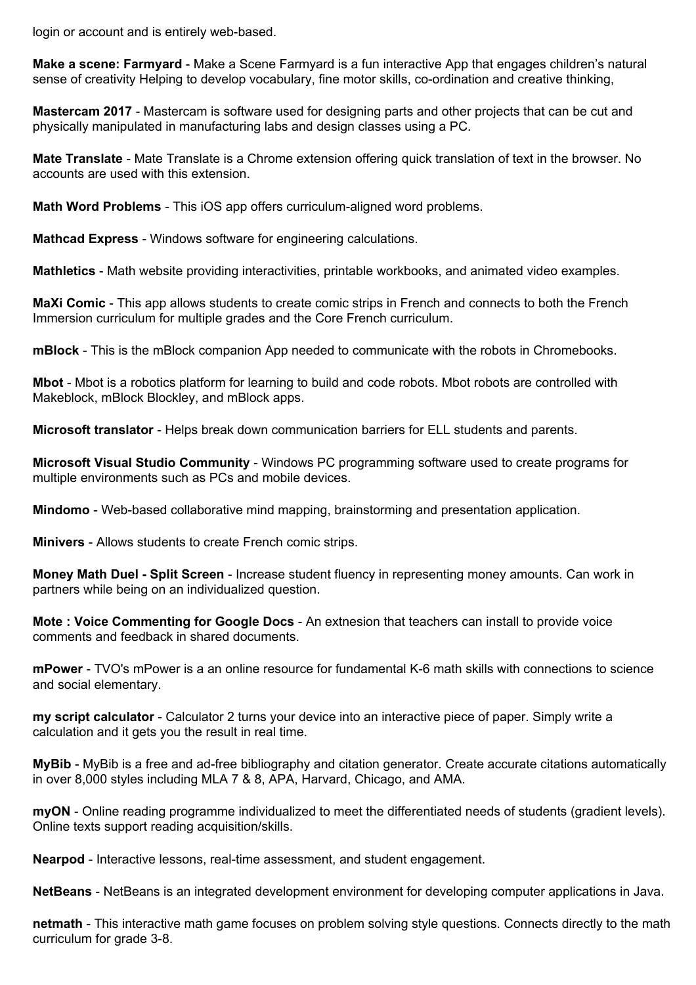login or account and is entirely web-based.

**Make a scene: Farmyard** - Make a Scene Farmyard is a fun interactive App that engages children's natural sense of creativity Helping to develop vocabulary, fine motor skills, co-ordination and creative thinking,

**Mastercam 2017** - Mastercam is software used for designing parts and other projects that can be cut and physically manipulated in manufacturing labs and design classes using a PC.

**Mate Translate** - Mate Translate is a Chrome extension offering quick translation of text in the browser. No accounts are used with this extension.

**Math Word Problems** - This iOS app offers curriculum-aligned word problems.

**Mathcad Express** - Windows software for engineering calculations.

**Mathletics** - Math website providing interactivities, printable workbooks, and animated video examples.

**MaXi Comic** - This app allows students to create comic strips in French and connects to both the French Immersion curriculum for multiple grades and the Core French curriculum.

**mBlock** - This is the mBlock companion App needed to communicate with the robots in Chromebooks.

**Mbot** - Mbot is a robotics platform for learning to build and code robots. Mbot robots are controlled with Makeblock, mBlock Blockley, and mBlock apps.

**Microsoft translator** - Helps break down communication barriers for ELL students and parents.

**Microsoft Visual Studio Community** - Windows PC programming software used to create programs for multiple environments such as PCs and mobile devices.

**Mindomo** - Web-based collaborative mind mapping, brainstorming and presentation application.

**Minivers** - Allows students to create French comic strips.

**Money Math Duel - Split Screen** - Increase student fluency in representing money amounts. Can work in partners while being on an individualized question.

**Mote : Voice Commenting for Google Docs** - An extnesion that teachers can install to provide voice comments and feedback in shared documents.

**mPower** - TVO's mPower is a an online resource for fundamental K-6 math skills with connections to science and social elementary.

**my script calculator** - Calculator 2 turns your device into an interactive piece of paper. Simply write a calculation and it gets you the result in real time.

**MyBib** - MyBib is a free and ad-free bibliography and citation generator. Create accurate citations automatically in over 8,000 styles including MLA 7 & 8, APA, Harvard, Chicago, and AMA.

**myON** - Online reading programme individualized to meet the differentiated needs of students (gradient levels). Online texts support reading acquisition/skills.

**Nearpod** - Interactive lessons, real-time assessment, and student engagement.

**NetBeans** - NetBeans is an integrated development environment for developing computer applications in Java.

**netmath** - This interactive math game focuses on problem solving style questions. Connects directly to the math curriculum for grade 3-8.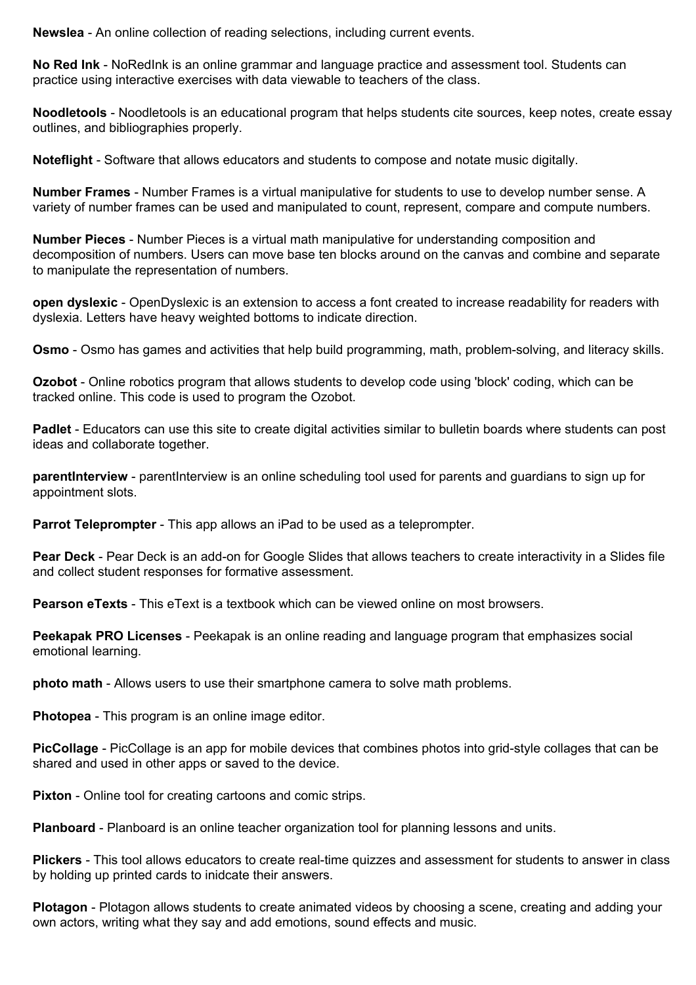**Newslea** - An online collection of reading selections, including current events.

**No Red Ink** - NoRedInk is an online grammar and language practice and assessment tool. Students can practice using interactive exercises with data viewable to teachers of the class.

**Noodletools** - Noodletools is an educational program that helps students cite sources, keep notes, create essay outlines, and bibliographies properly.

**Noteflight** - Software that allows educators and students to compose and notate music digitally.

**Number Frames** - Number Frames is a virtual manipulative for students to use to develop number sense. A variety of number frames can be used and manipulated to count, represent, compare and compute numbers.

**Number Pieces** - Number Pieces is a virtual math manipulative for understanding composition and decomposition of numbers. Users can move base ten blocks around on the canvas and combine and separate to manipulate the representation of numbers.

**open dyslexic** - OpenDyslexic is an extension to access a font created to increase readability for readers with dyslexia. Letters have heavy weighted bottoms to indicate direction.

**Osmo** - Osmo has games and activities that help build programming, math, problem-solving, and literacy skills.

**Ozobot** - Online robotics program that allows students to develop code using 'block' coding, which can be tracked online. This code is used to program the Ozobot.

**Padlet** - Educators can use this site to create digital activities similar to bulletin boards where students can post ideas and collaborate together.

**parentInterview** - parentInterview is an online scheduling tool used for parents and guardians to sign up for appointment slots.

**Parrot Teleprompter** - This app allows an iPad to be used as a teleprompter.

**Pear Deck** - Pear Deck is an add-on for Google Slides that allows teachers to create interactivity in a Slides file and collect student responses for formative assessment.

**Pearson eTexts** - This eText is a textbook which can be viewed online on most browsers.

**Peekapak PRO Licenses** - Peekapak is an online reading and language program that emphasizes social emotional learning.

**photo math** - Allows users to use their smartphone camera to solve math problems.

**Photopea** - This program is an online image editor.

**PicCollage** - PicCollage is an app for mobile devices that combines photos into grid-style collages that can be shared and used in other apps or saved to the device.

**Pixton** - Online tool for creating cartoons and comic strips.

**Planboard** - Planboard is an online teacher organization tool for planning lessons and units.

**Plickers** - This tool allows educators to create real-time quizzes and assessment for students to answer in class by holding up printed cards to inidcate their answers.

**Plotagon** - Plotagon allows students to create animated videos by choosing a scene, creating and adding your own actors, writing what they say and add emotions, sound effects and music.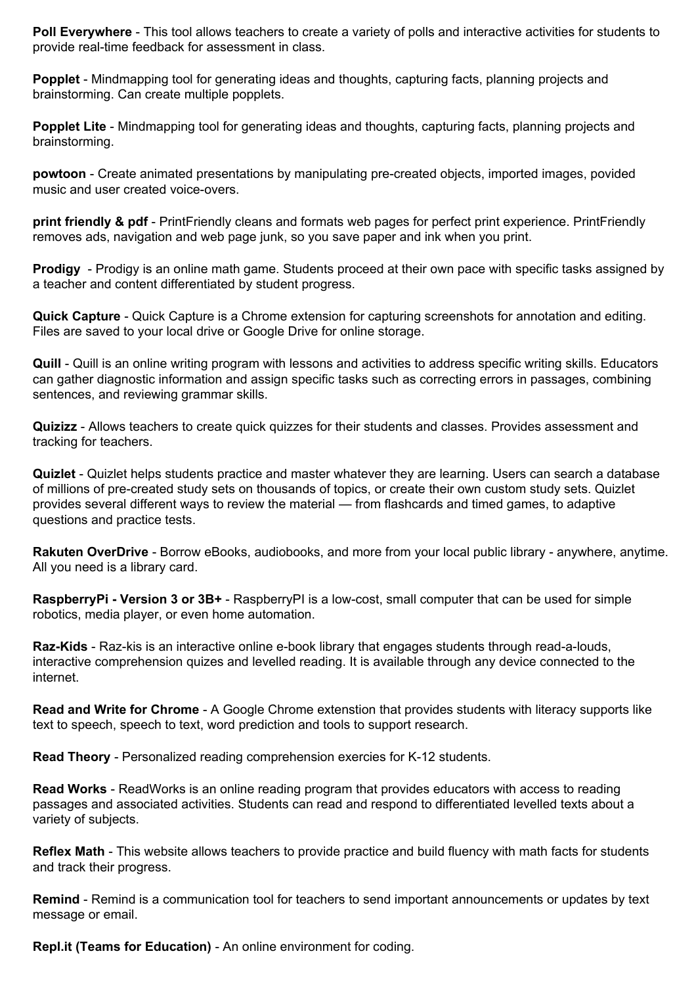**Poll Everywhere** - This tool allows teachers to create a variety of polls and interactive activities for students to provide real-time feedback for assessment in class.

**Popplet** - Mindmapping tool for generating ideas and thoughts, capturing facts, planning projects and brainstorming. Can create multiple popplets.

**Popplet Lite** - Mindmapping tool for generating ideas and thoughts, capturing facts, planning projects and brainstorming.

**powtoon** - Create animated presentations by manipulating pre-created objects, imported images, povided music and user created voice-overs.

**print friendly & pdf** - PrintFriendly cleans and formats web pages for perfect print experience. PrintFriendly removes ads, navigation and web page junk, so you save paper and ink when you print.

**Prodigy** - Prodigy is an online math game. Students proceed at their own pace with specific tasks assigned by a teacher and content differentiated by student progress.

**Quick Capture** - Quick Capture is a Chrome extension for capturing screenshots for annotation and editing. Files are saved to your local drive or Google Drive for online storage.

**Quill** - Quill is an online writing program with lessons and activities to address specific writing skills. Educators can gather diagnostic information and assign specific tasks such as correcting errors in passages, combining sentences, and reviewing grammar skills.

**Quizizz** - Allows teachers to create quick quizzes for their students and classes. Provides assessment and tracking for teachers.

**Quizlet** - Quizlet helps students practice and master whatever they are learning. Users can search a database of millions of pre-created study sets on thousands of topics, or create their own custom study sets. Quizlet provides several different ways to review the material — from flashcards and timed games, to adaptive questions and practice tests.

**Rakuten OverDrive** - Borrow eBooks, audiobooks, and more from your local public library - anywhere, anytime. All you need is a library card.

**RaspberryPi - Version 3 or 3B+** - RaspberryPI is a low-cost, small computer that can be used for simple robotics, media player, or even home automation.

**Raz-Kids** - Raz-kis is an interactive online e-book library that engages students through read-a-louds, interactive comprehension quizes and levelled reading. It is available through any device connected to the internet.

**Read and Write for Chrome** - A Google Chrome extenstion that provides students with literacy supports like text to speech, speech to text, word prediction and tools to support research.

**Read Theory** - Personalized reading comprehension exercies for K-12 students.

**Read Works** - ReadWorks is an online reading program that provides educators with access to reading passages and associated activities. Students can read and respond to differentiated levelled texts about a variety of subjects.

**Reflex Math** - This website allows teachers to provide practice and build fluency with math facts for students and track their progress.

**Remind** - Remind is a communication tool for teachers to send important announcements or updates by text message or email.

**Repl.it (Teams for Education)** - An online environment for coding.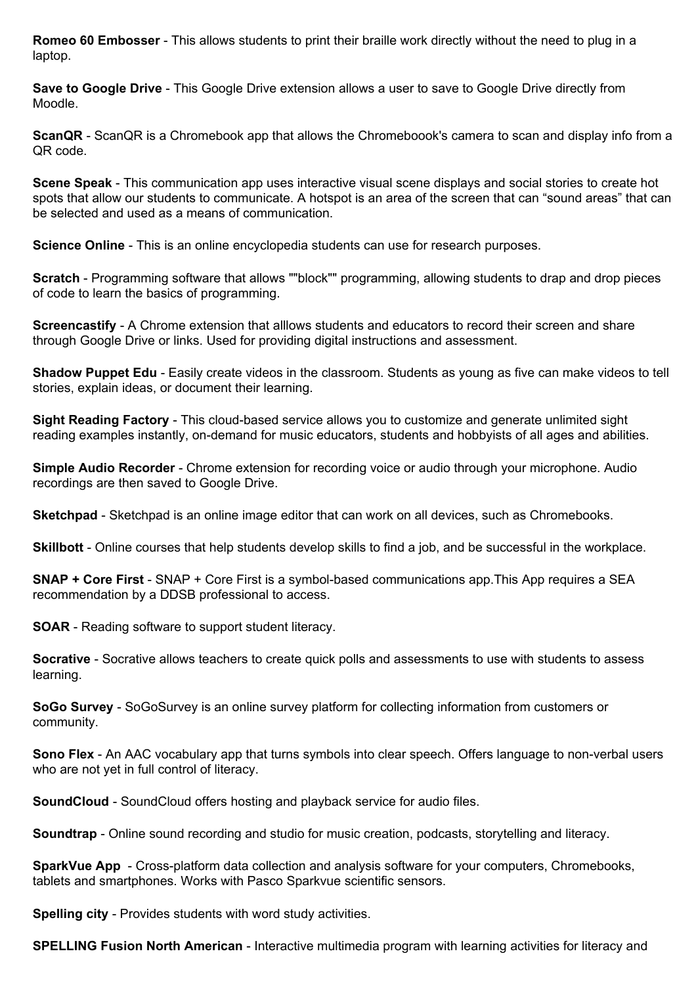**Romeo 60 Embosser** - This allows students to print their braille work directly without the need to plug in a laptop.

**Save to Google Drive** - This Google Drive extension allows a user to save to Google Drive directly from Moodle.

**ScanQR** - ScanQR is a Chromebook app that allows the Chromeboook's camera to scan and display info from a QR code.

**Scene Speak** - This communication app uses interactive visual scene displays and social stories to create hot spots that allow our students to communicate. A hotspot is an area of the screen that can "sound areas" that can be selected and used as a means of communication.

**Science Online** - This is an online encyclopedia students can use for research purposes.

**Scratch** - Programming software that allows ""block"" programming, allowing students to drap and drop pieces of code to learn the basics of programming.

**Screencastify** - A Chrome extension that alllows students and educators to record their screen and share through Google Drive or links. Used for providing digital instructions and assessment.

**Shadow Puppet Edu** - Easily create videos in the classroom. Students as young as five can make videos to tell stories, explain ideas, or document their learning.

**Sight Reading Factory** - This cloud-based service allows you to customize and generate unlimited sight reading examples instantly, on-demand for music educators, students and hobbyists of all ages and abilities.

**Simple Audio Recorder** - Chrome extension for recording voice or audio through your microphone. Audio recordings are then saved to Google Drive.

**Sketchpad** - Sketchpad is an online image editor that can work on all devices, such as Chromebooks.

**Skillbott** - Online courses that help students develop skills to find a job, and be successful in the workplace.

**SNAP + Core First** - SNAP + Core First is a symbol-based communications app.This App requires a SEA recommendation by a DDSB professional to access.

**SOAR** - Reading software to support student literacy.

**Socrative** - Socrative allows teachers to create quick polls and assessments to use with students to assess learning.

**SoGo Survey** - SoGoSurvey is an online survey platform for collecting information from customers or community.

**Sono Flex** - An AAC vocabulary app that turns symbols into clear speech. Offers language to non-verbal users who are not yet in full control of literacy.

**SoundCloud** - SoundCloud offers hosting and playback service for audio files.

**Soundtrap** - Online sound recording and studio for music creation, podcasts, storytelling and literacy.

**SparkVue App** - Cross-platform data collection and analysis software for your computers, Chromebooks, tablets and smartphones. Works with Pasco Sparkvue scientific sensors.

**Spelling city** - Provides students with word study activities.

**SPELLING Fusion North American** - Interactive multimedia program with learning activities for literacy and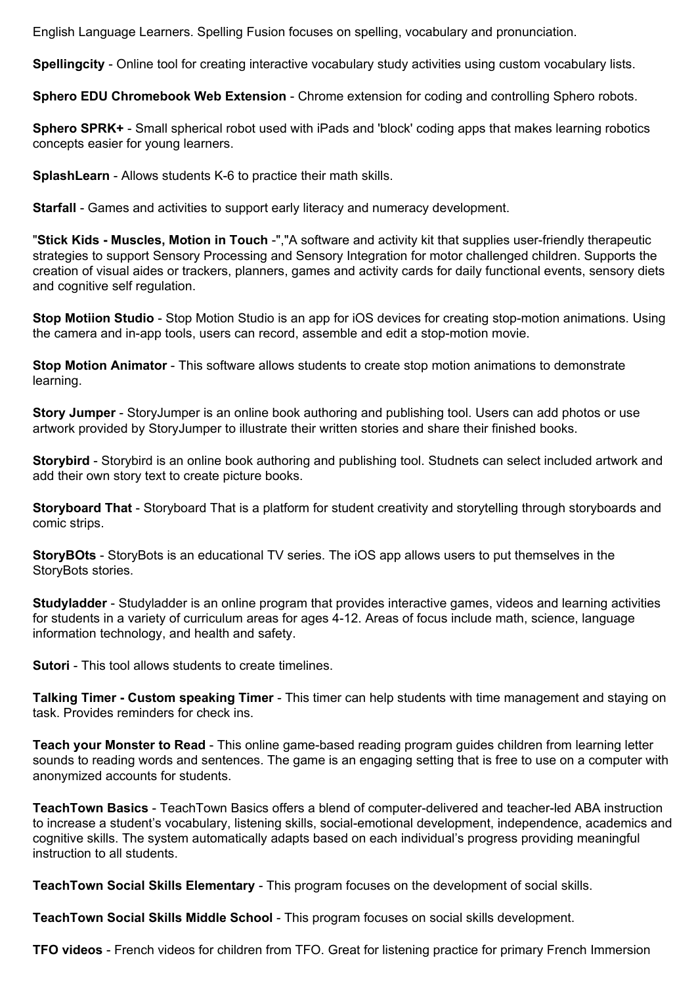English Language Learners. Spelling Fusion focuses on spelling, vocabulary and pronunciation.

**Spellingcity** - Online tool for creating interactive vocabulary study activities using custom vocabulary lists.

**Sphero EDU Chromebook Web Extension** - Chrome extension for coding and controlling Sphero robots.

**Sphero SPRK+** - Small spherical robot used with iPads and 'block' coding apps that makes learning robotics concepts easier for young learners.

**SplashLearn** - Allows students K-6 to practice their math skills.

**Starfall** - Games and activities to support early literacy and numeracy development.

"**Stick Kids - Muscles, Motion in Touch** -","A software and activity kit that supplies user-friendly therapeutic strategies to support Sensory Processing and Sensory Integration for motor challenged children. Supports the creation of visual aides or trackers, planners, games and activity cards for daily functional events, sensory diets and cognitive self regulation.

**Stop Motiion Studio** - Stop Motion Studio is an app for iOS devices for creating stop-motion animations. Using the camera and in-app tools, users can record, assemble and edit a stop-motion movie.

**Stop Motion Animator** - This software allows students to create stop motion animations to demonstrate learning.

**Story Jumper** - StoryJumper is an online book authoring and publishing tool. Users can add photos or use artwork provided by StoryJumper to illustrate their written stories and share their finished books.

**Storybird** - Storybird is an online book authoring and publishing tool. Studnets can select included artwork and add their own story text to create picture books.

**Storyboard That** - Storyboard That is a platform for student creativity and storytelling through storyboards and comic strips.

**StoryBOts** - StoryBots is an educational TV series. The iOS app allows users to put themselves in the StoryBots stories.

**Studyladder** - Studyladder is an online program that provides interactive games, videos and learning activities for students in a variety of curriculum areas for ages 4-12. Areas of focus include math, science, language information technology, and health and safety.

**Sutori** - This tool allows students to create timelines.

**Talking Timer - Custom speaking Timer** - This timer can help students with time management and staying on task. Provides reminders for check ins.

**Teach your Monster to Read** - This online game-based reading program guides children from learning letter sounds to reading words and sentences. The game is an engaging setting that is free to use on a computer with anonymized accounts for students.

**TeachTown Basics** - TeachTown Basics offers a blend of computer-delivered and teacher-led ABA instruction to increase a student's vocabulary, listening skills, social-emotional development, independence, academics and cognitive skills. The system automatically adapts based on each individual's progress providing meaningful instruction to all students.

**TeachTown Social Skills Elementary** - This program focuses on the development of social skills.

**TeachTown Social Skills Middle School** - This program focuses on social skills development.

**TFO videos** - French videos for children from TFO. Great for listening practice for primary French Immersion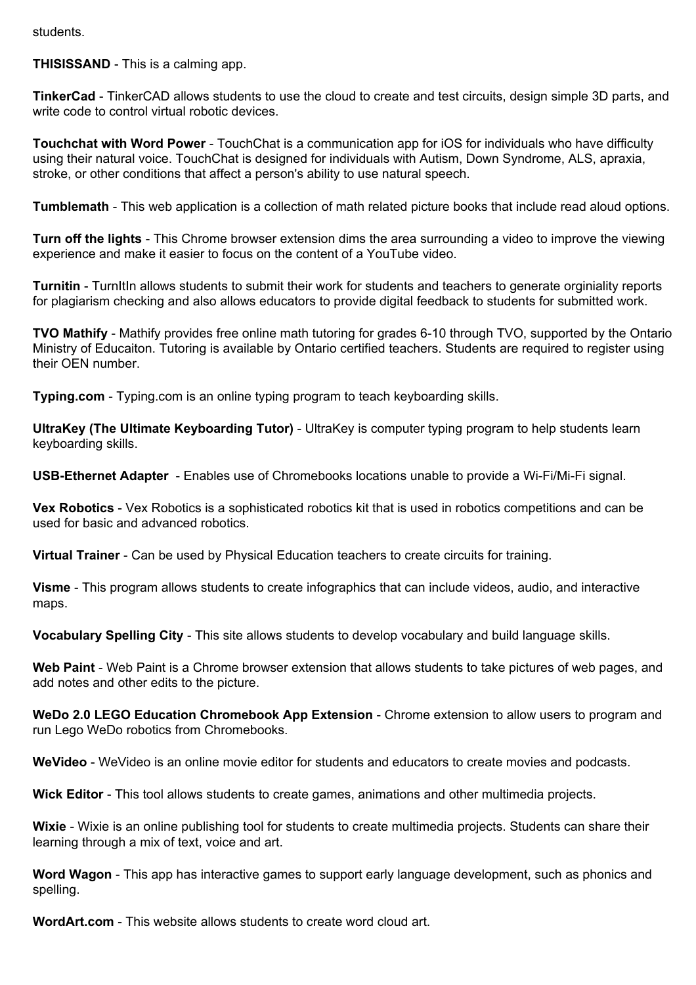students.

**THISISSAND** - This is a calming app.

**TinkerCad** - TinkerCAD allows students to use the cloud to create and test circuits, design simple 3D parts, and write code to control virtual robotic devices.

**Touchchat with Word Power** - TouchChat is a communication app for iOS for individuals who have difficulty using their natural voice. TouchChat is designed for individuals with Autism, Down Syndrome, ALS, apraxia, stroke, or other conditions that affect a person's ability to use natural speech.

**Tumblemath** - This web application is a collection of math related picture books that include read aloud options.

**Turn off the lights** - This Chrome browser extension dims the area surrounding a video to improve the viewing experience and make it easier to focus on the content of a YouTube video.

**Turnitin** - TurnItIn allows students to submit their work for students and teachers to generate orginiality reports for plagiarism checking and also allows educators to provide digital feedback to students for submitted work.

**TVO Mathify** - Mathify provides free online math tutoring for grades 6-10 through TVO, supported by the Ontario Ministry of Educaiton. Tutoring is available by Ontario certified teachers. Students are required to register using their OEN number.

**Typing.com** - Typing.com is an online typing program to teach keyboarding skills.

**UltraKey (The Ultimate Keyboarding Tutor)** - UltraKey is computer typing program to help students learn keyboarding skills.

**USB-Ethernet Adapter** - Enables use of Chromebooks locations unable to provide a Wi-Fi/Mi-Fi signal.

**Vex Robotics** - Vex Robotics is a sophisticated robotics kit that is used in robotics competitions and can be used for basic and advanced robotics.

**Virtual Trainer** - Can be used by Physical Education teachers to create circuits for training.

**Visme** - This program allows students to create infographics that can include videos, audio, and interactive maps.

**Vocabulary Spelling City** - This site allows students to develop vocabulary and build language skills.

**Web Paint** - Web Paint is a Chrome browser extension that allows students to take pictures of web pages, and add notes and other edits to the picture.

**WeDo 2.0 LEGO Education Chromebook App Extension** - Chrome extension to allow users to program and run Lego WeDo robotics from Chromebooks.

**WeVideo** - WeVideo is an online movie editor for students and educators to create movies and podcasts.

**Wick Editor** - This tool allows students to create games, animations and other multimedia projects.

**Wixie** - Wixie is an online publishing tool for students to create multimedia projects. Students can share their learning through a mix of text, voice and art.

**Word Wagon** - This app has interactive games to support early language development, such as phonics and spelling.

**WordArt.com** - This website allows students to create word cloud art.